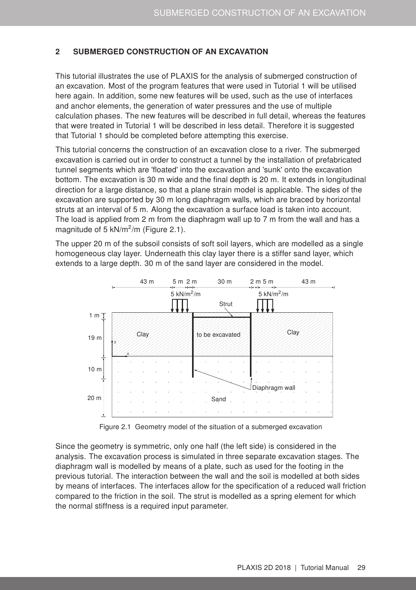## <span id="page-0-1"></span>2 SUBMERGED CONSTRUCTION OF AN EXCAVATION

This tutorial illustrates the use of PLAXIS for the analysis of submerged construction of an excavation. Most of the program features that were used in Tutorial 1 will be utilised here again. In addition, some new features will be used, such as the use of interfaces and anchor elements, the generation of water pressures and the use of multiple calculation phases. The new features will be described in full detail, whereas the features that were treated in Tutorial 1 will be described in less detail. Therefore it is suggested that Tutorial 1 should be completed before attempting this exercise.

This tutorial concerns the construction of an excavation close to a river. The submerged excavation is carried out in order to construct a tunnel by the installation of prefabricated tunnel segments which are 'floated' into the excavation and 'sunk' onto the excavation bottom. The excavation is 30 m wide and the final depth is 20 m. It extends in longitudinal direction for a large distance, so that a plane strain model is applicable. The sides of the excavation are supported by 30 m long diaphragm walls, which are braced by horizontal struts at an interval of 5 m. Along the excavation a surface load is taken into account. The load is applied from 2 m from the diaphragm wall up to 7 m from the wall and has a magnitude of 5 kN/ $m^2/m$  (Figure [2.1\)](#page-0-0).

The upper 20 m of the subsoil consists of soft soil layers, which are modelled as a single homogeneous clay layer. Underneath this clay layer there is a stiffer sand layer, which extends to a large depth. 30 m of the sand layer are considered in the model.



<span id="page-0-0"></span>Figure 2.1 Geometry model of the situation of a submerged excavation

Since the geometry is symmetric, only one half (the left side) is considered in the analysis. The excavation process is simulated in three separate excavation stages. The diaphragm wall is modelled by means of a plate, such as used for the footing in the previous tutorial. The interaction between the wall and the soil is modelled at both sides by means of interfaces. The interfaces allow for the specification of a reduced wall friction compared to the friction in the soil. The strut is modelled as a spring element for which the normal stiffness is a required input parameter.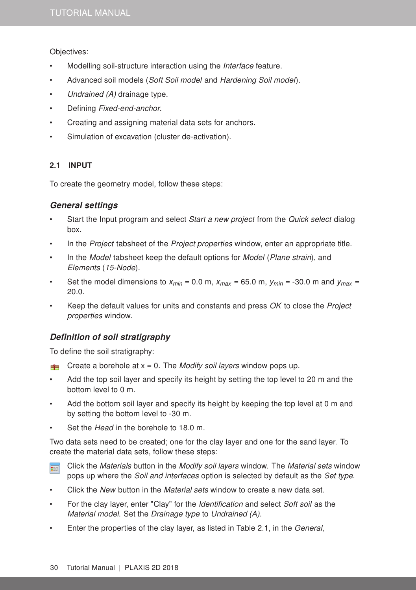Objectives:

- Modelling soil-structure interaction using the *Interface* feature.
- Advanced soil models (Soft Soil model and Hardening Soil model).
- Undrained (A) drainage type.
- Defining Fixed-end-anchor.
- Creating and assigning material data sets for anchors.
- Simulation of excavation (cluster de-activation).

### 2.1 INPUT

To create the geometry model, follow these steps:

### General settings

- Start the Input program and select *Start a new project* from the *Quick select* dialog box.
- In the *Project* tabsheet of the *Project properties* window, enter an appropriate title.
- In the *Model* tabsheet keep the default options for *Model (Plane strain)*, and Elements (15-Node).
- Set the model dimensions to  $x_{min} = 0.0$  m,  $x_{max} = 65.0$  m,  $y_{min} = -30.0$  m and  $y_{max} =$ 20.0.
- Keep the default values for units and constants and press OK to close the Project properties window.

# Definition of soil stratigraphy

To define the soil stratigraphy:

- **Create a borehole at x = 0.** The *Modify soil layers* window pops up.
- Add the top soil layer and specify its height by setting the top level to 20 m and the bottom level to 0 m.
- Add the bottom soil layer and specify its height by keeping the top level at 0 m and by setting the bottom level to -30 m.
- Set the *Head* in the borehole to 18.0 m.

Two data sets need to be created; one for the clay layer and one for the sand layer. To create the material data sets, follow these steps:

- Click the Materials button in the Modify soil layers window. The Material sets window ⊞ pops up where the Soil and interfaces option is selected by default as the Set type.
- Click the New button in the *Material sets* window to create a new data set.
- For the clay layer, enter "Clay" for the *Identification* and select Soft soil as the Material model. Set the Drainage type to Undrained (A).
- Enter the properties of the clay layer, as listed in Table [2.1,](#page-2-0) in the General,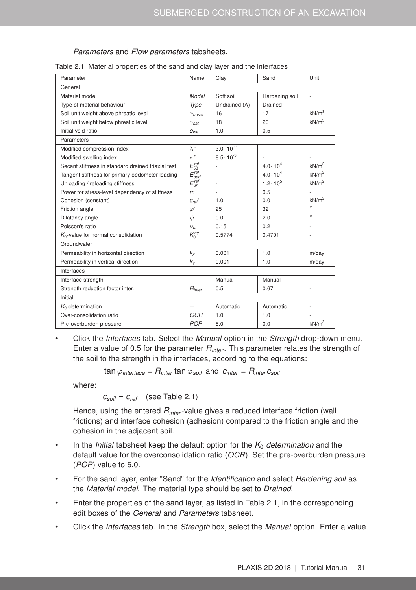#### <span id="page-2-0"></span>Parameters and Flow parameters tabsheets.

| Parameter                                          | Name                      | Clay                | Sand                     | Unit              |  |
|----------------------------------------------------|---------------------------|---------------------|--------------------------|-------------------|--|
| General                                            |                           |                     |                          |                   |  |
| Material model                                     | Model                     | Soft soil           | Hardening soil           |                   |  |
| Type of material behaviour                         | Type                      | Undrained (A)       | Drained                  |                   |  |
| Soil unit weight above phreatic level              | $\gamma$ <sub>unsat</sub> | 16                  | 17                       | kN/m <sup>3</sup> |  |
| Soil unit weight below phreatic level              | $\gamma_{\textit{sat}}$   | 18                  | 20                       | kN/m <sup>3</sup> |  |
| Initial void ratio                                 | $e_{init}$                | 1.0                 | 0.5                      |                   |  |
| Parameters                                         |                           |                     |                          |                   |  |
| Modified compression index                         | $\lambda^*$               | $3.0 \cdot 10^{-2}$ | $\overline{\phantom{a}}$ | $\overline{a}$    |  |
| Modified swelling index                            | $\kappa^*$                | $8.5 \cdot 10^{-3}$ |                          |                   |  |
| Secant stiffness in standard drained triaxial test | $E_{50}^{ref}$            |                     | $4.0 \cdot 10^{4}$       | kN/m <sup>2</sup> |  |
| Tangent stiffness for primary oedometer loading    | $E_{oed}^{ref}$           |                     | $4.0 \cdot 10^{4}$       | kN/m <sup>2</sup> |  |
| Unloading / reloading stiffness                    | $E_{ur}^{ref}$            | ä,                  | $1.2 \cdot 10^5$         | kN/m <sup>2</sup> |  |
| Power for stress-level dependency of stiffness     | m                         |                     | 0.5                      |                   |  |
| Cohesion (constant)                                | $C_{ref}$                 | 1.0                 | 0.0                      | kN/m <sup>2</sup> |  |
| Friction angle                                     | $\varphi'$                | 25                  | 32                       | $\circ$           |  |
| Dilatancy angle                                    | $\psi$                    | 0.0                 | 2.0                      | $\circ$           |  |
| Poisson's ratio                                    | $\nu$ <sub>ur</sub> '     | 0.15                | 0.2                      |                   |  |
| $K_0$ -value for normal consolidation              | $K_0^{nc}$                | 0.5774              | 0.4701                   |                   |  |
| Groundwater                                        |                           |                     |                          |                   |  |
| Permeability in horizontal direction               | $k_{x}$                   | 0.001               | 1.0                      | m/day             |  |
| Permeability in vertical direction                 | $k_{\rm v}$               | 0.001               | 1.0                      | m/day             |  |
| Interfaces                                         |                           |                     |                          |                   |  |
| Interface strength                                 | $\overline{\phantom{0}}$  | Manual              | Manual                   |                   |  |
| Strength reduction factor inter.                   | $R_{inter}$               | 0.5                 | 0.67                     |                   |  |
| Initial                                            |                           |                     |                          |                   |  |
| $K_0$ determination                                |                           | Automatic           | Automatic                |                   |  |
| Over-consolidation ratio                           | <b>OCR</b>                | 1.0                 | 1.0                      |                   |  |
| Pre-overburden pressure                            | POP                       | 5.0                 | 0.0                      | kN/m <sup>2</sup> |  |

|  |  |  |  | Table 2.1 Material properties of the sand and clay layer and the interfaces |
|--|--|--|--|-----------------------------------------------------------------------------|

• Click the *Interfaces* tab. Select the *Manual* option in the *Strength* drop-down menu. Enter a value of 0.5 for the parameter *Rinter* . This parameter relates the strength of the soil to the strength in the interfaces, according to the equations:

$$
\tan \varphi_{interface} = R_{inter} \tan \varphi_{soil} \text{ and } c_{inter} = R_{inter} c_{soil}
$$

where:

 $c_{\textit{sol}} = c_{\textit{ref}}$  (see Table [2.1\)](#page-2-0)

Hence, using the entered *Rinter* -value gives a reduced interface friction (wall frictions) and interface cohesion (adhesion) compared to the friction angle and the cohesion in the adjacent soil.

- In the *Initial* tabsheet keep the default option for the  $K_0$  determination and the default value for the overconsolidation ratio (OCR). Set the pre-overburden pressure (POP) value to 5.0.
- For the sand layer, enter "Sand" for the *Identification* and select *Hardening soil* as the Material model. The material type should be set to Drained.
- Enter the properties of the sand layer, as listed in Table [2.1,](#page-2-0) in the corresponding edit boxes of the General and Parameters tabsheet.
- Click the Interfaces tab. In the Strength box, select the Manual option. Enter a value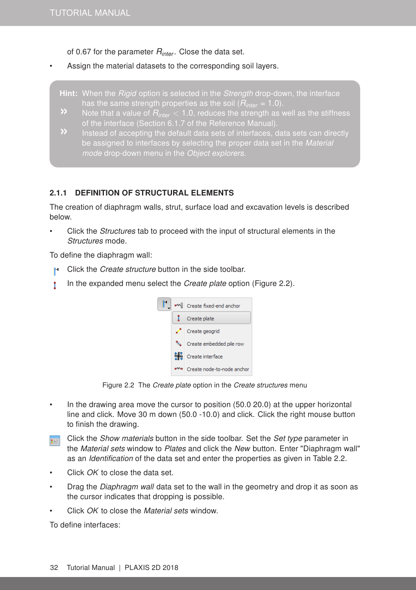of 0.67 for the parameter *Rinter* . Close the data set.

- Assign the material datasets to the corresponding soil layers.
	- **Hint:** When the *Rigid* option is selected in the *Strength* drop-down, the interface has the same strength properties as the soil (*Rinter* = 1.0).
	- of the interface (Section 6.1.7 of the [Reference Manual\)](#page-0-1).
	- be assigned to interfaces by selecting the proper data set in the Material mode drop-down menu in the Object explorers.

### 2.1.1 DEFINITION OF STRUCTURAL ELEMENTS

The creation of diaphragm walls, strut, surface load and excavation levels is described below.

Click the *Structures* tab to proceed with the input of structural elements in the Structures mode.

To define the diaphragm wall:

- Click the Create structure button in the side toolbar. H.
- In the expanded menu select the *Create plate* option (Figure [2.2\)](#page-3-0). Y



Figure 2.2 The Create plate option in the Create structures menu

- <span id="page-3-0"></span>• In the drawing area move the cursor to position (50.0 20.0) at the upper horizontal line and click. Move 30 m down (50.0 -10.0) and click. Click the right mouse button to finish the drawing.
- Click the Show materials button in the side toolbar. Set the Set type parameter in **TEST** the Material sets window to Plates and click the New button. Enter "Diaphragm wall" as an Identification of the data set and enter the properties as given in Table [2.2.](#page-4-0)
- Click OK to close the data set.
- Drag the *Diaphragm wall* data set to the wall in the geometry and drop it as soon as the cursor indicates that dropping is possible.
- Click OK to close the Material sets window.

To define interfaces: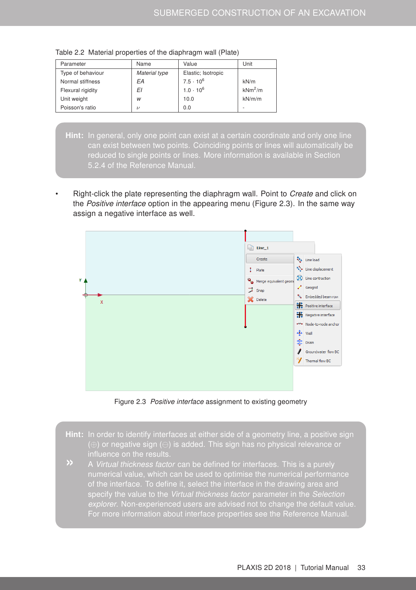| Parameter         | Name          | Value              | Unit      |
|-------------------|---------------|--------------------|-----------|
| Type of behaviour | Material type | Elastic; Isotropic |           |
| Normal stiffness  | EΑ            | $7.5 \cdot 10^6$   | kN/m      |
| Flexural rigidity | ΕI            | $1.0 \cdot 10^{6}$ | $kNm^2/m$ |
| Unit weight       | W             | 10.0               | kN/m/m    |
| Poisson's ratio   | $\nu$         | 0.0                | ۰         |

<span id="page-4-0"></span>Table 2.2 Material properties of the diaphragm wall (Plate)

- Hint: In general, only one point can exist at a certain coordinate and only one line can exist between two points. Coinciding points or lines will automatically be reduced to single points or lines. More information is available in Section 5.2.4 of the [Reference Manual.](#page-0-1)
- Right-click the plate representing the diaphragm wall. Point to Create and click on the Positive interface option in the appearing menu (Figure [2.3\)](#page-4-1). In the same way assign a negative interface as well.



<span id="page-4-1"></span>Figure 2.3 Positive interface assignment to existing geometry

- Hint: In order to identify interfaces at either side of a geometry line, a positive sign (⊕) or negative sign ( $\ominus$ ) is added. This sign has no physical relevance or influence on the results.
- specify the value to the Virtual thickness factor parameter in the Selection explorer. Non-experienced users are advised not to change the default value.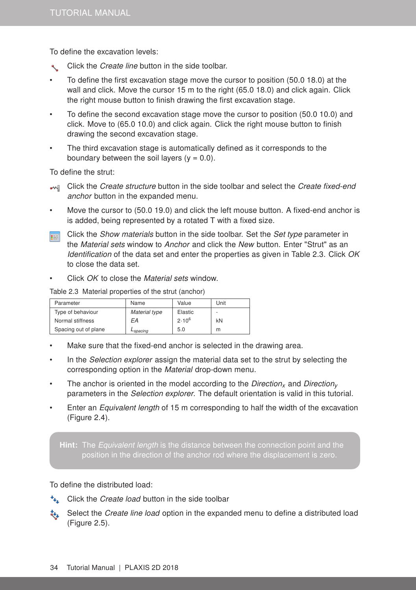To define the excavation levels:

- Click the Create line button in the side toolbar.
- To define the first excavation stage move the cursor to position (50.0 18.0) at the wall and click. Move the cursor 15 m to the right (65.0 18.0) and click again. Click the right mouse button to finish drawing the first excavation stage.
- To define the second excavation stage move the cursor to position (50.0 10.0) and click. Move to (65.0 10.0) and click again. Click the right mouse button to finish drawing the second excavation stage.
- The third excavation stage is automatically defined as it corresponds to the boundary between the soil layers  $(y = 0.0)$ .

To define the strut:

- Click the Create structure button in the side toolbar and select the Create fixed-end anchor button in the expanded menu.
- Move the cursor to (50.0 19.0) and click the left mouse button. A fixed-end anchor is is added, being represented by a rotated T with a fixed size.
- Click the *Show materials* button in the side toolbar. Set the *Set type* parameter in 事 the Material sets window to Anchor and click the New button. Enter "Strut" as an Identification of the data set and enter the properties as given in Table [2.3.](#page-5-0) Click OK to close the data set.
- Click OK to close the Material sets window.

<span id="page-5-0"></span>Table 2.3 Material properties of the strut (anchor)

| Parameter            | Name                 | Value      | Unit |
|----------------------|----------------------|------------|------|
| Type of behaviour    | Material type        | Elastic    | ۰    |
| Normal stiffness     | EА                   | $2.10^{6}$ | kN   |
| Spacing out of plane | L <sub>spacing</sub> | 5.0        | m    |

- Make sure that the fixed-end anchor is selected in the drawing area.
- In the *Selection explorer* assign the material data set to the strut by selecting the corresponding option in the Material drop-down menu.
- The anchor is oriented in the model according to the *Direction<sub>x</sub>* and *Direction<sub>y</sub>* parameters in the Selection explorer. The default orientation is valid in this tutorial.
- Enter an *Equivalent length* of 15 m corresponding to half the width of the excavation (Figure [2.4\)](#page-6-0).

Hint: The Equivalent length is the distance between the connection point and the

To define the distributed load:

- \*\*. Click the *Create load* button in the side toolbar
- $\ddot{\bullet}$  Select the *Create line load* option in the expanded menu to define a distributed load (Figure [2.5\)](#page-6-1).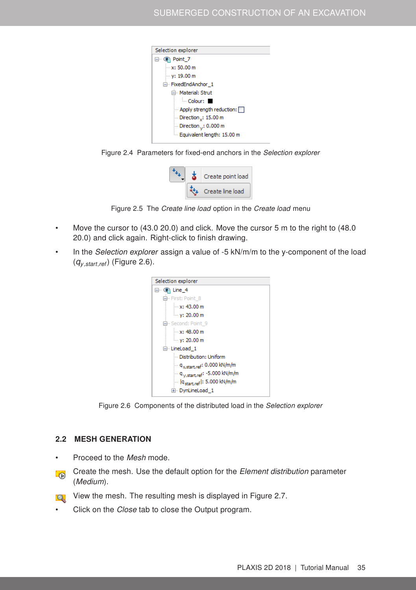

Figure 2.4 Parameters for fixed-end anchors in the Selection explorer

<span id="page-6-1"></span><span id="page-6-0"></span>

Figure 2.5 The Create line load option in the Create load menu

- Move the cursor to (43.0 20.0) and click. Move the cursor 5 m to the right to (48.0 20.0) and click again. Right-click to finish drawing.
- In the Selection explorer assign a value of -5 kN/m/m to the y-component of the load (*qy*,*start*,*ref*) (Figure [2.6\)](#page-6-2).



Figure 2.6 Components of the distributed load in the Selection explorer

## <span id="page-6-2"></span>2.2 MESH GENERATION

- Proceed to the Mesh mode.
- Create the mesh. Use the default option for the Element distribution parameter **LO** (Medium).
- View the mesh. The resulting mesh is displayed in Figure [2.7.](#page-7-0) **CK** 
	- Click on the *Close* tab to close the Output program.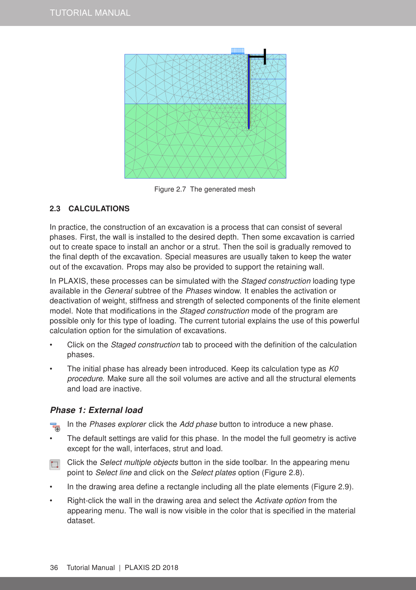

Figure 2.7 The generated mesh

# <span id="page-7-0"></span>2.3 CALCULATIONS

In practice, the construction of an excavation is a process that can consist of several phases. First, the wall is installed to the desired depth. Then some excavation is carried out to create space to install an anchor or a strut. Then the soil is gradually removed to the final depth of the excavation. Special measures are usually taken to keep the water out of the excavation. Props may also be provided to support the retaining wall.

In PLAXIS, these processes can be simulated with the *Staged construction* loading type available in the General subtree of the Phases window. It enables the activation or deactivation of weight, stiffness and strength of selected components of the finite element model. Note that modifications in the *Staged construction* mode of the program are possible only for this type of loading. The current tutorial explains the use of this powerful calculation option for the simulation of excavations.

- Click on the Staged construction tab to proceed with the definition of the calculation phases.
- The initial phase has already been introduced. Keep its calculation type as  $K0$ procedure. Make sure all the soil volumes are active and all the structural elements and load are inactive.

# Phase 1: External load

In the Phases explorer click the Add phase button to introduce a new phase. 鬲

- The default settings are valid for this phase. In the model the full geometry is active except for the wall, interfaces, strut and load.
- Click the Select multiple objects button in the side toolbar. In the appearing menu point to Select line and click on the Select plates option (Figure [2.8\)](#page-8-0).
- In the drawing area define a rectangle including all the plate elements (Figure [2.9\)](#page-8-1).
- Right-click the wall in the drawing area and select the Activate option from the appearing menu. The wall is now visible in the color that is specified in the material dataset.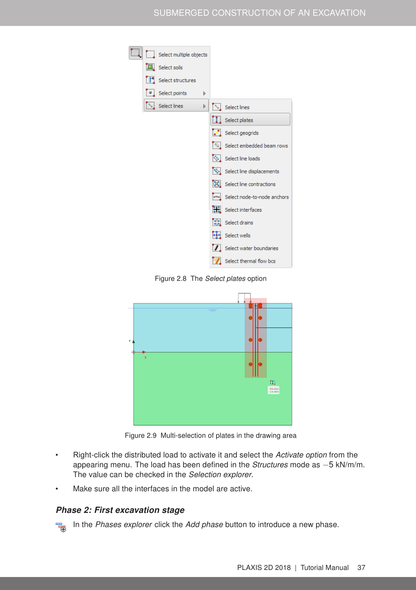

Figure 2.8 The Select plates option

<span id="page-8-0"></span>

<span id="page-8-1"></span>Figure 2.9 Multi-selection of plates in the drawing area

- Right-click the distributed load to activate it and select the Activate option from the appearing menu. The load has been defined in the Structures mode as -5 kN/m/m. The value can be checked in the Selection explorer.
- Make sure all the interfaces in the model are active.

## Phase 2: First excavation stage

In the Phases explorer click the Add phase button to introduce a new phase. \_\_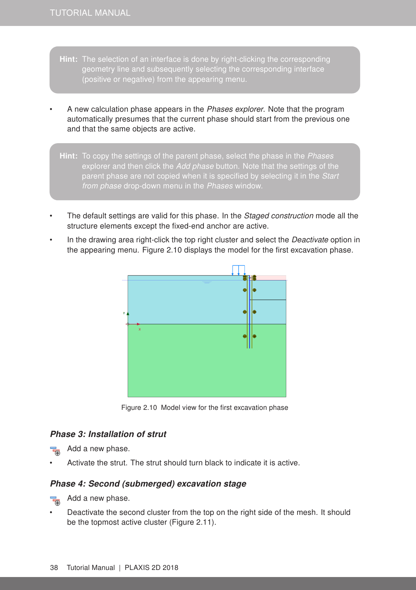- Hint: The selection of an interface is done by right-clicking the corresponding geometry line and subsequently selecting the corresponding interface (positive or negative) from the appearing menu.
- A new calculation phase appears in the Phases explorer. Note that the program automatically presumes that the current phase should start from the previous one and that the same objects are active.
- **Hint:** To copy the settings of the parent phase, select the phase in the *Phases* from phase drop-down menu in the Phases window.
- The default settings are valid for this phase. In the Staged construction mode all the structure elements except the fixed-end anchor are active.
- In the drawing area right-click the top right cluster and select the Deactivate option in the appearing menu. Figure [2.10](#page-9-0) displays the model for the first excavation phase.



<span id="page-9-0"></span>Figure 2.10 Model view for the first excavation phase

# Phase 3: Installation of strut

Add a new phase.

• Activate the strut. The strut should turn black to indicate it is active.

#### Phase 4: Second (submerged) excavation stage

73 Add a new phase.

• Deactivate the second cluster from the top on the right side of the mesh. It should be the topmost active cluster (Figure [2.11\)](#page-10-0).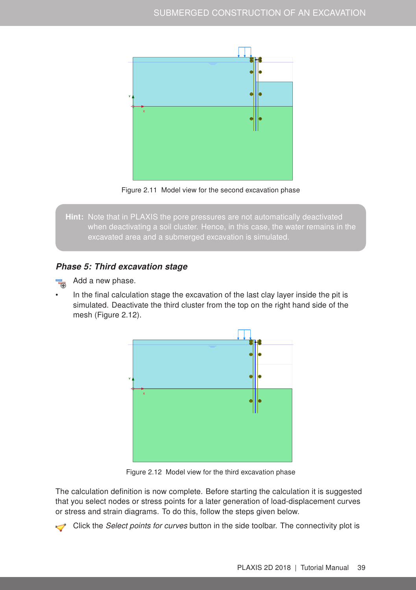

<span id="page-10-0"></span>Figure 2.11 Model view for the second excavation phase

Hint: Note that in PLAXIS the pore pressures are not automatically deactivated excavated area and a submerged excavation is simulated.

### Phase 5: Third excavation stage

Add a new phase.

In the final calculation stage the excavation of the last clay layer inside the pit is simulated. Deactivate the third cluster from the top on the right hand side of the mesh (Figure [2.12\)](#page-10-1).



<span id="page-10-1"></span>Figure 2.12 Model view for the third excavation phase

The calculation definition is now complete. Before starting the calculation it is suggested that you select nodes or stress points for a later generation of load-displacement curves or stress and strain diagrams. To do this, follow the steps given below.

Click the *Select points for curves* button in the side toolbar. The connectivity plot is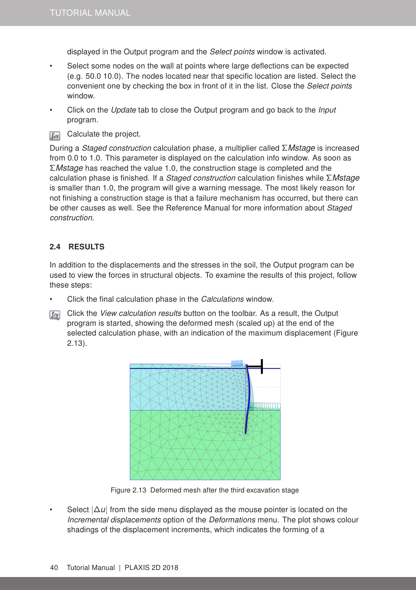displayed in the Output program and the Select points window is activated.

- Select some nodes on the wall at points where large deflections can be expected (e.g. 50.0 10.0). The nodes located near that specific location are listed. Select the convenient one by checking the box in front of it in the list. Close the Select points window.
- Click on the Update tab to close the Output program and go back to the Input program.
- Calculate the project.  $\int dV$

During a Staged construction calculation phase, a multiplier called Σ*Mstage* is increased from 0.0 to 1.0. This parameter is displayed on the calculation info window. As soon as Σ*Mstage* has reached the value 1.0, the construction stage is completed and the calculation phase is finished. If a Staged construction calculation finishes while Σ*Mstage* is smaller than 1.0, the program will give a warning message. The most likely reason for not finishing a construction stage is that a failure mechanism has occurred, but there can be other causes as well. See the [Reference Manual](#page-0-1) for more information about Staged construction.

## 2.4 RESULTS

In addition to the displacements and the stresses in the soil, the Output program can be used to view the forces in structural objects. To examine the results of this project, follow these steps:

- Click the final calculation phase in the Calculations window.
- Click the View calculation results button on the toolbar. As a result, the Output program is started, showing the deformed mesh (scaled up) at the end of the selected calculation phase, with an indication of the maximum displacement (Figure [2.13\)](#page-11-0).



<span id="page-11-0"></span>Figure 2.13 Deformed mesh after the third excavation stage

Select  $|\Delta u|$  from the side menu displayed as the mouse pointer is located on the Incremental displacements option of the Deformations menu. The plot shows colour shadings of the displacement increments, which indicates the forming of a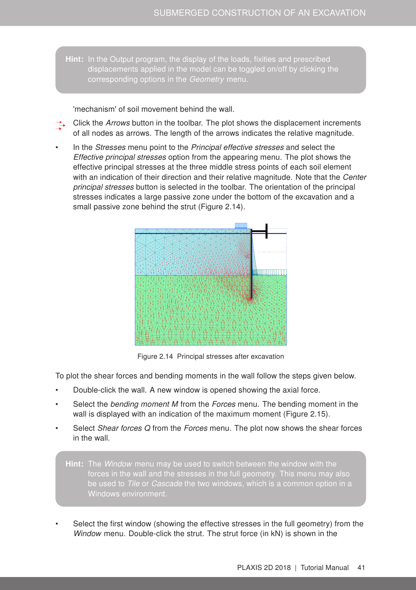Hint: In the Output program, the display of the loads, fixities and prescribed displacements applied in the model can be toggled on/off by clicking the

'mechanism' of soil movement behind the wall.

Click the Arrows button in the toolbar. The plot shows the displacement increments of all nodes as arrows. The length of the arrows indicates the relative magnitude.

In the *Stresses* menu point to the *Principal effective stresses* and select the Effective principal stresses option from the appearing menu. The plot shows the effective principal stresses at the three middle stress points of each soil element with an indication of their direction and their relative magnitude. Note that the Center principal stresses button is selected in the toolbar. The orientation of the principal stresses indicates a large passive zone under the bottom of the excavation and a small passive zone behind the strut (Figure [2.14\)](#page-12-0).



<span id="page-12-0"></span>Figure 2.14 Principal stresses after excavation

To plot the shear forces and bending moments in the wall follow the steps given below.

- Double-click the wall. A new window is opened showing the axial force.
- Select the bending moment M from the Forces menu. The bending moment in the wall is displayed with an indication of the maximum moment (Figure [2.15\)](#page-13-0).
- Select Shear forces Q from the Forces menu. The plot now shows the shear forces in the wall.

Hint: The Window menu may be used to switch between the window with the forces in the wall and the stresses in the full geometry. This menu may also Windows environment.

Select the first window (showing the effective stresses in the full geometry) from the Window menu. Double-click the strut. The strut force (in kN) is shown in the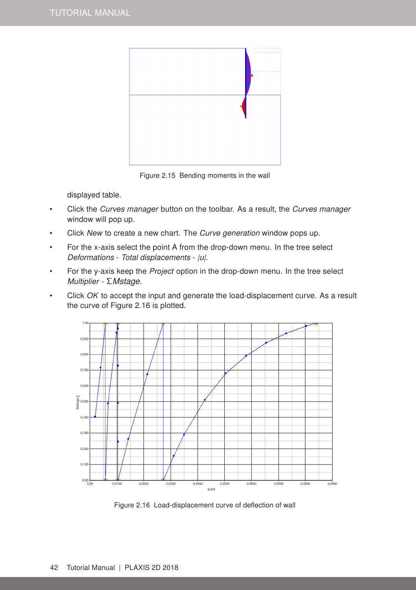

Figure 2.15 Bending moments in the wall

<span id="page-13-0"></span>displayed table.

- Click the Curves manager button on the toolbar. As a result, the Curves manager window will pop up.
- Click New to create a new chart. The Curve generation window pops up.
- For the x-axis select the point A from the drop-down menu. In the tree select Deformations - Total displacements - |u|.
- For the y-axis keep the Project option in the drop-down menu. In the tree select Multiplier - Σ*Mstage*.
- Click OK to accept the input and generate the load-displacement curve. As a result the curve of Figure [2.16](#page-13-1) is plotted.



<span id="page-13-1"></span>Figure 2.16 Load-displacement curve of deflection of wall